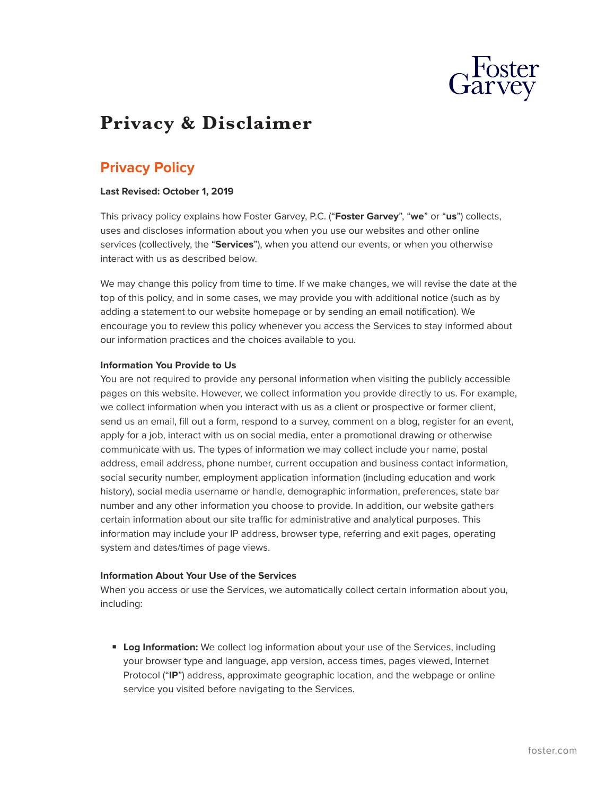

# **Privacy & Disclaimer**

## **Privacy Policy**

#### **Last Revised: October 1, 2019**

This privacy policy explains how Foster Garvey, P.C. ("**Foster Garvey**", "**we**" or "**us**") collects, uses and discloses information about you when you use our websites and other online services (collectively, the "**Services**"), when you attend our events, or when you otherwise interact with us as described below.

We may change this policy from time to time. If we make changes, we will revise the date at the top of this policy, and in some cases, we may provide you with additional notice (such as by adding a statement to our website homepage or by sending an email notification). We encourage you to review this policy whenever you access the Services to stay informed about our information practices and the choices available to you.

#### **Information You Provide to Us**

You are not required to provide any personal information when visiting the publicly accessible pages on this website. However, we collect information you provide directly to us. For example, we collect information when you interact with us as a client or prospective or former client, send us an email, fill out a form, respond to a survey, comment on a blog, register for an event, apply for a job, interact with us on social media, enter a promotional drawing or otherwise communicate with us. The types of information we may collect include your name, postal address, email address, phone number, current occupation and business contact information, social security number, employment application information (including education and work history), social media username or handle, demographic information, preferences, state bar number and any other information you choose to provide. In addition, our website gathers certain information about our site traffic for administrative and analytical purposes. This information may include your IP address, browser type, referring and exit pages, operating system and dates/times of page views.

#### **Information About Your Use of the Services**

When you access or use the Services, we automatically collect certain information about you, including:

■ **Log Information:** We collect log information about your use of the Services, including your browser type and language, app version, access times, pages viewed, Internet Protocol ("**IP**") address, approximate geographic location, and the webpage or online service you visited before navigating to the Services.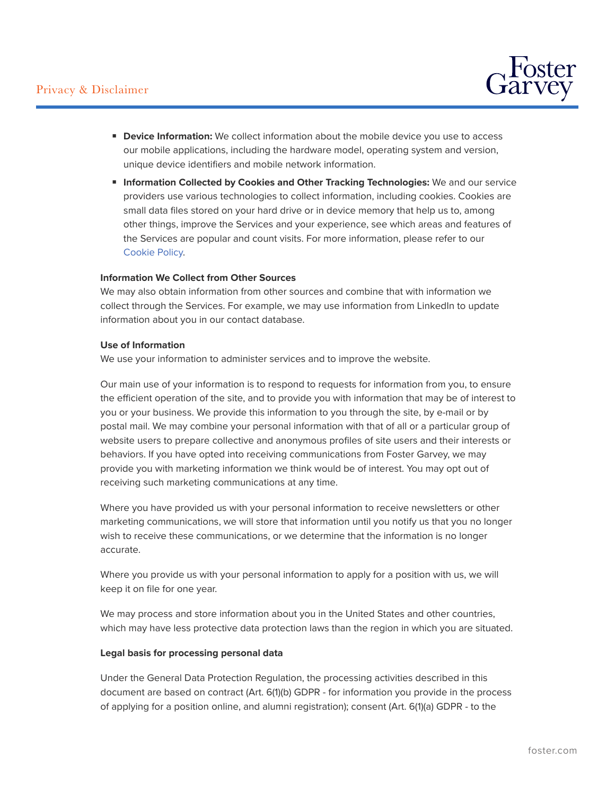

- **Device Information:** We collect information about the mobile device you use to access our mobile applications, including the hardware model, operating system and version, unique device identifiers and mobile network information.
- **Information Collected by Cookies and Other Tracking Technologies:** We and our service providers use various technologies to collect information, including cookies. Cookies are small data files stored on your hard drive or in device memory that help us to, among other things, improve the Services and your experience, see which areas and features of the Services are popular and count visits. For more information, please refer to our [Cookie Policy.](https://www.foster.com/cookie-policy)

#### **Information We Collect from Other Sources**

We may also obtain information from other sources and combine that with information we collect through the Services. For example, we may use information from LinkedIn to update information about you in our contact database.

#### **Use of Information**

We use your information to administer services and to improve the website.

Our main use of your information is to respond to requests for information from you, to ensure the efficient operation of the site, and to provide you with information that may be of interest to you or your business. We provide this information to you through the site, by e-mail or by postal mail. We may combine your personal information with that of all or a particular group of website users to prepare collective and anonymous profiles of site users and their interests or behaviors. If you have opted into receiving communications from Foster Garvey, we may provide you with marketing information we think would be of interest. You may opt out of receiving such marketing communications at any time.

Where you have provided us with your personal information to receive newsletters or other marketing communications, we will store that information until you notify us that you no longer wish to receive these communications, or we determine that the information is no longer accurate.

Where you provide us with your personal information to apply for a position with us, we will keep it on file for one year.

We may process and store information about you in the United States and other countries, which may have less protective data protection laws than the region in which you are situated.

#### **Legal basis for processing personal data**

Under the General Data Protection Regulation, the processing activities described in this document are based on contract (Art. 6(1)(b) GDPR - for information you provide in the process of applying for a position online, and alumni registration); consent (Art. 6(1)(a) GDPR - to the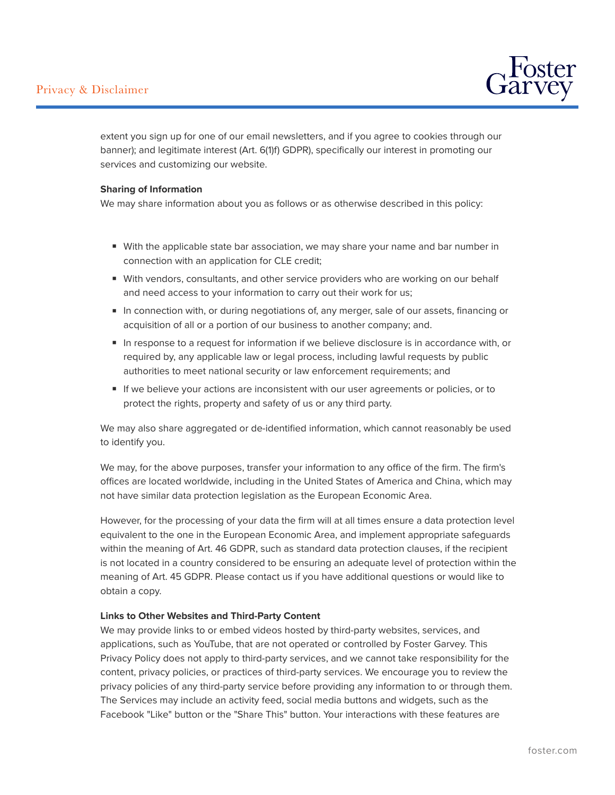### Privacy & Disclaimer



extent you sign up for one of our email newsletters, and if you agree to cookies through our banner); and legitimate interest (Art. 6(1)f) GDPR), specifically our interest in promoting our services and customizing our website.

#### **Sharing of Information**

We may share information about you as follows or as otherwise described in this policy:

- With the applicable state bar association, we may share your name and bar number in connection with an application for CLE credit;
- With vendors, consultants, and other service providers who are working on our behalf and need access to your information to carry out their work for us;
- In connection with, or during negotiations of, any merger, sale of our assets, financing or acquisition of all or a portion of our business to another company; and.
- In response to a request for information if we believe disclosure is in accordance with, or required by, any applicable law or legal process, including lawful requests by public authorities to meet national security or law enforcement requirements; and
- If we believe your actions are inconsistent with our user agreements or policies, or to protect the rights, property and safety of us or any third party.

We may also share aggregated or de-identified information, which cannot reasonably be used to identify you.

We may, for the above purposes, transfer your information to any office of the firm. The firm's offices are located worldwide, including in the United States of America and China, which may not have similar data protection legislation as the European Economic Area.

However, for the processing of your data the firm will at all times ensure a data protection level equivalent to the one in the European Economic Area, and implement appropriate safeguards within the meaning of Art. 46 GDPR, such as standard data protection clauses, if the recipient is not located in a country considered to be ensuring an adequate level of protection within the meaning of Art. 45 GDPR. Please contact us if you have additional questions or would like to obtain a copy.

#### **Links to Other Websites and Third-Party Content**

We may provide links to or embed videos hosted by third-party websites, services, and applications, such as YouTube, that are not operated or controlled by Foster Garvey. This Privacy Policy does not apply to third-party services, and we cannot take responsibility for the content, privacy policies, or practices of third-party services. We encourage you to review the privacy policies of any third-party service before providing any information to or through them. The Services may include an activity feed, social media buttons and widgets, such as the Facebook "Like" button or the "Share This" button. Your interactions with these features are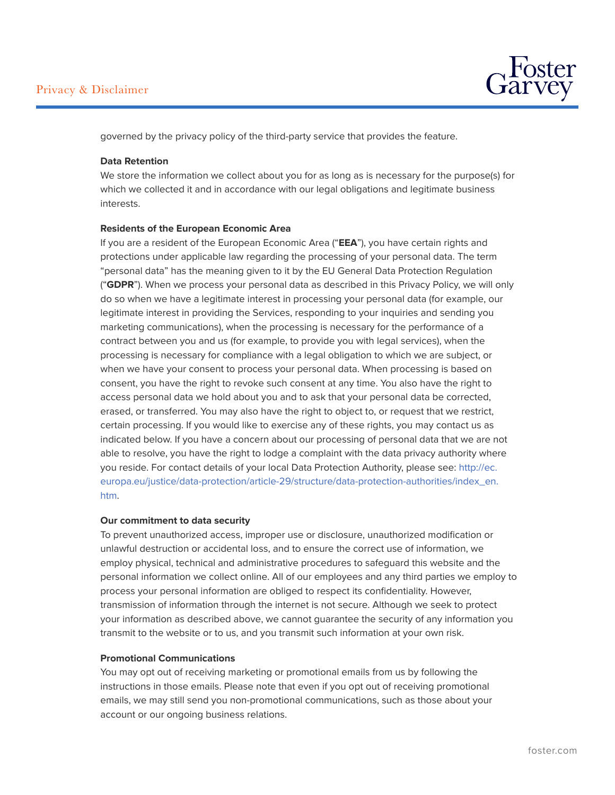

governed by the privacy policy of the third-party service that provides the feature.

#### **Data Retention**

We store the information we collect about you for as long as is necessary for the purpose(s) for which we collected it and in accordance with our legal obligations and legitimate business interests.

#### **Residents of the European Economic Area**

If you are a resident of the European Economic Area ("**EEA**"), you have certain rights and protections under applicable law regarding the processing of your personal data. The term "personal data" has the meaning given to it by the EU General Data Protection Regulation ("**GDPR**"). When we process your personal data as described in this Privacy Policy, we will only do so when we have a legitimate interest in processing your personal data (for example, our legitimate interest in providing the Services, responding to your inquiries and sending you marketing communications), when the processing is necessary for the performance of a contract between you and us (for example, to provide you with legal services), when the processing is necessary for compliance with a legal obligation to which we are subject, or when we have your consent to process your personal data. When processing is based on consent, you have the right to revoke such consent at any time. You also have the right to access personal data we hold about you and to ask that your personal data be corrected, erased, or transferred. You may also have the right to object to, or request that we restrict, certain processing. If you would like to exercise any of these rights, you may contact us as indicated below. If you have a concern about our processing of personal data that we are not able to resolve, you have the right to lodge a complaint with the data privacy authority where you reside. For contact details of your local Data Protection Authority, please see: [http://ec.](http://ec.europa.eu/justice/data-protection/article-29/structure/data-protection-authorities/index_en.htm) [europa.eu/justice/data-protection/article-29/structure/data-protection-authorities/index\\_en.](http://ec.europa.eu/justice/data-protection/article-29/structure/data-protection-authorities/index_en.htm) [htm.](http://ec.europa.eu/justice/data-protection/article-29/structure/data-protection-authorities/index_en.htm)

#### **Our commitment to data security**

To prevent unauthorized access, improper use or disclosure, unauthorized modification or unlawful destruction or accidental loss, and to ensure the correct use of information, we employ physical, technical and administrative procedures to safeguard this website and the personal information we collect online. All of our employees and any third parties we employ to process your personal information are obliged to respect its confidentiality. However, transmission of information through the internet is not secure. Although we seek to protect your information as described above, we cannot guarantee the security of any information you transmit to the website or to us, and you transmit such information at your own risk.

#### **Promotional Communications**

You may opt out of receiving marketing or promotional emails from us by following the instructions in those emails. Please note that even if you opt out of receiving promotional emails, we may still send you non-promotional communications, such as those about your account or our ongoing business relations.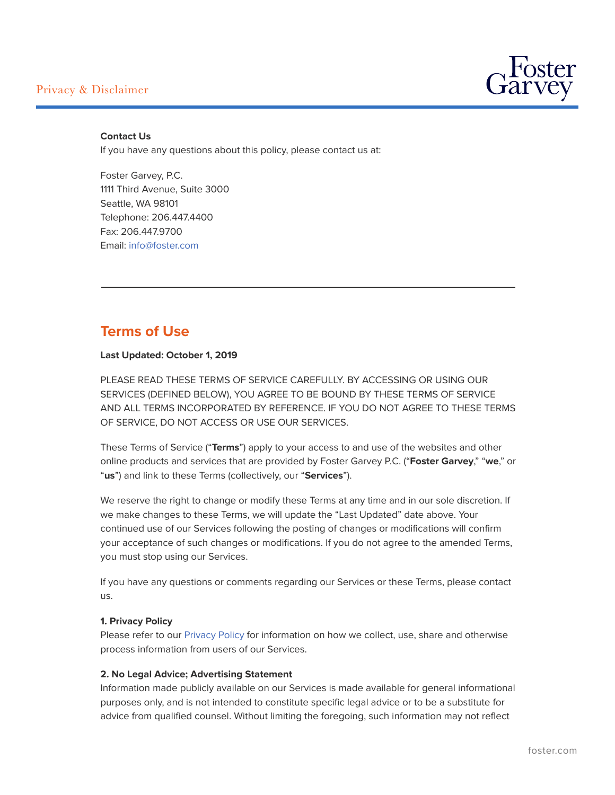### Privacy & Disclaimer

 $\overline{a}$ 



#### **Contact Us**

If you have any questions about this policy, please contact us at:

Foster Garvey, P.C. 1111 Third Avenue, Suite 3000 Seattle, WA 98101 Telephone: 206.447.4400 Fax: 206.447.9700 Email: [info@foster.com](mailto:info@foster.com)

### **Terms of Use**

#### **Last Updated: October 1, 2019**

PLEASE READ THESE TERMS OF SERVICE CAREFULLY. BY ACCESSING OR USING OUR SERVICES (DEFINED BELOW), YOU AGREE TO BE BOUND BY THESE TERMS OF SERVICE AND ALL TERMS INCORPORATED BY REFERENCE. IF YOU DO NOT AGREE TO THESE TERMS OF SERVICE, DO NOT ACCESS OR USE OUR SERVICES.

These Terms of Service ("**Terms**") apply to your access to and use of the websites and other online products and services that are provided by Foster Garvey P.C. ("**Foster Garvey**," "**we**," or "**us**") and link to these Terms (collectively, our "**Services**").

We reserve the right to change or modify these Terms at any time and in our sole discretion. If we make changes to these Terms, we will update the "Last Updated" date above. Your continued use of our Services following the posting of changes or modifications will confirm your acceptance of such changes or modifications. If you do not agree to the amended Terms, you must stop using our Services.

If you have any questions or comments regarding our Services or these Terms, please contact us.

#### **1. Privacy Policy**

Please refer to our [Privacy Policy](#PrivacyPolicy) for information on how we collect, use, share and otherwise process information from users of our Services.

#### **2. No Legal Advice; Advertising Statement**

Information made publicly available on our Services is made available for general informational purposes only, and is not intended to constitute specific legal advice or to be a substitute for advice from qualified counsel. Without limiting the foregoing, such information may not reflect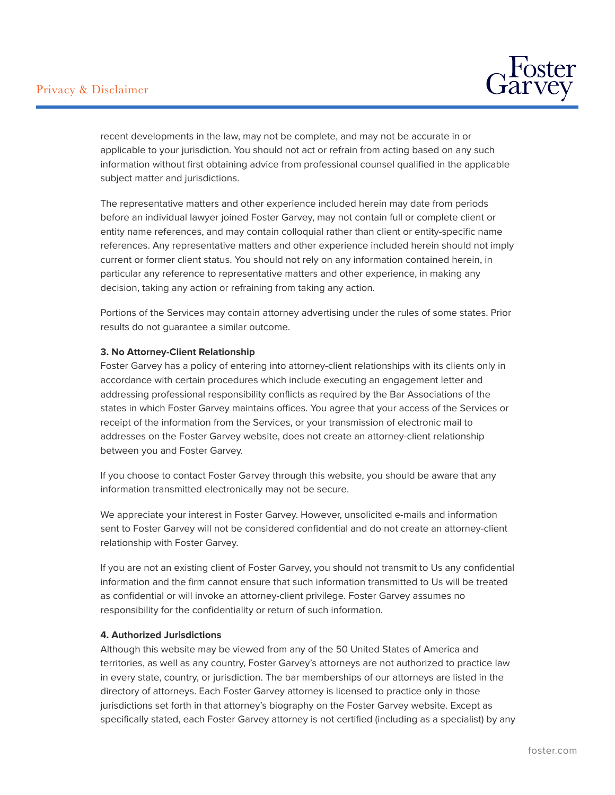

recent developments in the law, may not be complete, and may not be accurate in or applicable to your jurisdiction. You should not act or refrain from acting based on any such information without first obtaining advice from professional counsel qualified in the applicable subject matter and jurisdictions.

The representative matters and other experience included herein may date from periods before an individual lawyer joined Foster Garvey, may not contain full or complete client or entity name references, and may contain colloquial rather than client or entity-specific name references. Any representative matters and other experience included herein should not imply current or former client status. You should not rely on any information contained herein, in particular any reference to representative matters and other experience, in making any decision, taking any action or refraining from taking any action.

Portions of the Services may contain attorney advertising under the rules of some states. Prior results do not guarantee a similar outcome.

#### **3. No Attorney-Client Relationship**

Foster Garvey has a policy of entering into attorney-client relationships with its clients only in accordance with certain procedures which include executing an engagement letter and addressing professional responsibility conflicts as required by the Bar Associations of the states in which Foster Garvey maintains offices. You agree that your access of the Services or receipt of the information from the Services, or your transmission of electronic mail to addresses on the Foster Garvey website, does not create an attorney-client relationship between you and Foster Garvey.

If you choose to contact Foster Garvey through this website, you should be aware that any information transmitted electronically may not be secure.

We appreciate your interest in Foster Garvey. However, unsolicited e-mails and information sent to Foster Garvey will not be considered confidential and do not create an attorney-client relationship with Foster Garvey.

If you are not an existing client of Foster Garvey, you should not transmit to Us any confidential information and the firm cannot ensure that such information transmitted to Us will be treated as confidential or will invoke an attorney-client privilege. Foster Garvey assumes no responsibility for the confidentiality or return of such information.

#### **4. Authorized Jurisdictions**

Although this website may be viewed from any of the 50 United States of America and territories, as well as any country, Foster Garvey's attorneys are not authorized to practice law in every state, country, or jurisdiction. The bar memberships of our attorneys are listed in the directory of attorneys. Each Foster Garvey attorney is licensed to practice only in those jurisdictions set forth in that attorney's biography on the Foster Garvey website. Except as specifically stated, each Foster Garvey attorney is not certified (including as a specialist) by any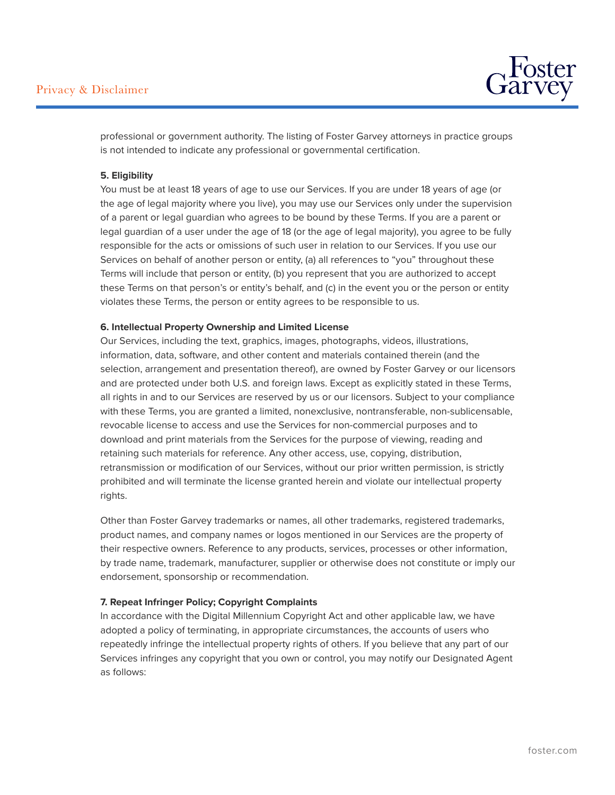

professional or government authority. The listing of Foster Garvey attorneys in practice groups is not intended to indicate any professional or governmental certification.

#### **5. Eligibility**

You must be at least 18 years of age to use our Services. If you are under 18 years of age (or the age of legal majority where you live), you may use our Services only under the supervision of a parent or legal guardian who agrees to be bound by these Terms. If you are a parent or legal guardian of a user under the age of 18 (or the age of legal majority), you agree to be fully responsible for the acts or omissions of such user in relation to our Services. If you use our Services on behalf of another person or entity, (a) all references to "you" throughout these Terms will include that person or entity, (b) you represent that you are authorized to accept these Terms on that person's or entity's behalf, and (c) in the event you or the person or entity violates these Terms, the person or entity agrees to be responsible to us.

#### **6. Intellectual Property Ownership and Limited License**

Our Services, including the text, graphics, images, photographs, videos, illustrations, information, data, software, and other content and materials contained therein (and the selection, arrangement and presentation thereof), are owned by Foster Garvey or our licensors and are protected under both U.S. and foreign laws. Except as explicitly stated in these Terms, all rights in and to our Services are reserved by us or our licensors. Subject to your compliance with these Terms, you are granted a limited, nonexclusive, nontransferable, non-sublicensable, revocable license to access and use the Services for non-commercial purposes and to download and print materials from the Services for the purpose of viewing, reading and retaining such materials for reference. Any other access, use, copying, distribution, retransmission or modification of our Services, without our prior written permission, is strictly prohibited and will terminate the license granted herein and violate our intellectual property rights.

Other than Foster Garvey trademarks or names, all other trademarks, registered trademarks, product names, and company names or logos mentioned in our Services are the property of their respective owners. Reference to any products, services, processes or other information, by trade name, trademark, manufacturer, supplier or otherwise does not constitute or imply our endorsement, sponsorship or recommendation.

#### **7. Repeat Infringer Policy; Copyright Complaints**

In accordance with the Digital Millennium Copyright Act and other applicable law, we have adopted a policy of terminating, in appropriate circumstances, the accounts of users who repeatedly infringe the intellectual property rights of others. If you believe that any part of our Services infringes any copyright that you own or control, you may notify our Designated Agent as follows: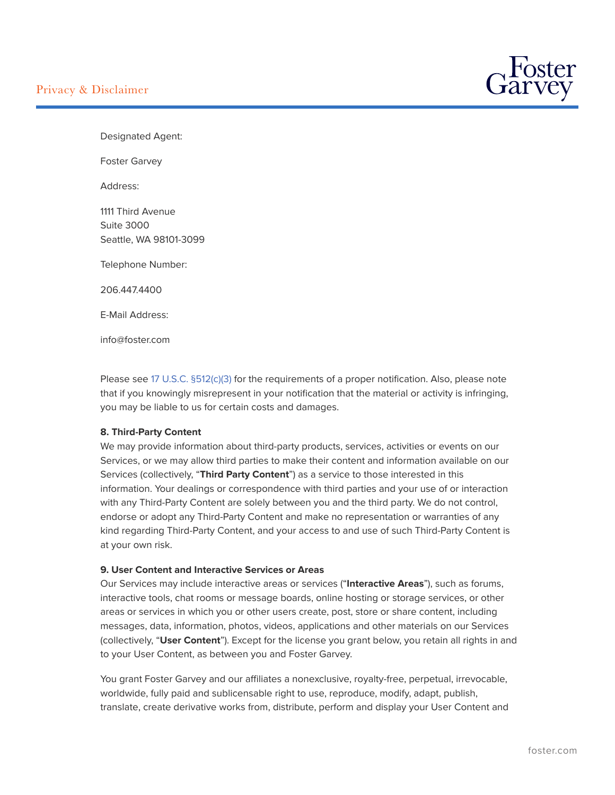

Designated Agent:

Foster Garvey

Address:

1111 Third Avenue Suite 3000 Seattle, WA 98101-3099

Telephone Number:

206.447.4400

E-Mail Address:

info@foster.com

Please see [17 U.S.C. §512\(c\)\(3\)](http://uscode.house.gov/view.xhtml?req=granuleid:USC-prelim-title17-section512&num=0&edition=prelim) for the requirements of a proper notification. Also, please note that if you knowingly misrepresent in your notification that the material or activity is infringing, you may be liable to us for certain costs and damages.

#### **8. Third-Party Content**

We may provide information about third-party products, services, activities or events on our Services, or we may allow third parties to make their content and information available on our Services (collectively, "**Third Party Content**") as a service to those interested in this information. Your dealings or correspondence with third parties and your use of or interaction with any Third-Party Content are solely between you and the third party. We do not control, endorse or adopt any Third-Party Content and make no representation or warranties of any kind regarding Third-Party Content, and your access to and use of such Third-Party Content is at your own risk.

#### **9. User Content and Interactive Services or Areas**

Our Services may include interactive areas or services ("**Interactive Areas**"), such as forums, interactive tools, chat rooms or message boards, online hosting or storage services, or other areas or services in which you or other users create, post, store or share content, including messages, data, information, photos, videos, applications and other materials on our Services (collectively, "**User Content**"). Except for the license you grant below, you retain all rights in and to your User Content, as between you and Foster Garvey.

You grant Foster Garvey and our affiliates a nonexclusive, royalty-free, perpetual, irrevocable, worldwide, fully paid and sublicensable right to use, reproduce, modify, adapt, publish, translate, create derivative works from, distribute, perform and display your User Content and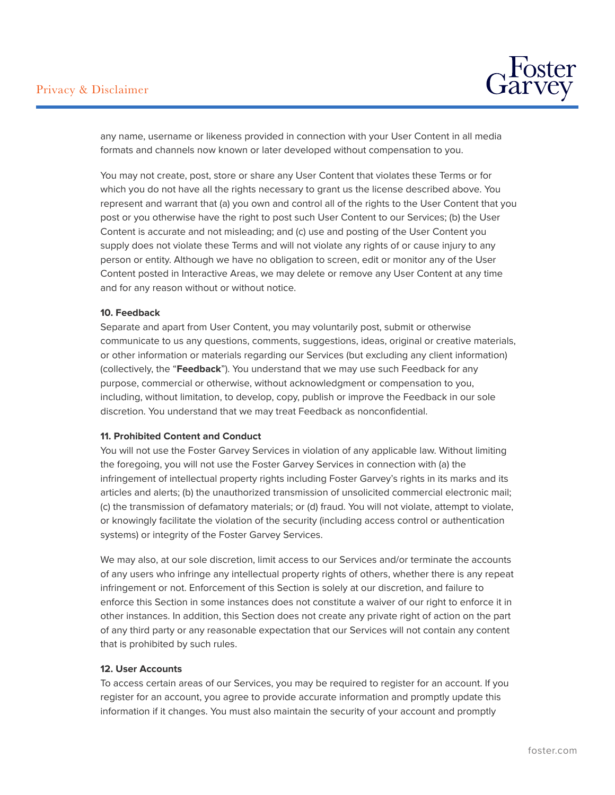

any name, username or likeness provided in connection with your User Content in all media formats and channels now known or later developed without compensation to you.

You may not create, post, store or share any User Content that violates these Terms or for which you do not have all the rights necessary to grant us the license described above. You represent and warrant that (a) you own and control all of the rights to the User Content that you post or you otherwise have the right to post such User Content to our Services; (b) the User Content is accurate and not misleading; and (c) use and posting of the User Content you supply does not violate these Terms and will not violate any rights of or cause injury to any person or entity. Although we have no obligation to screen, edit or monitor any of the User Content posted in Interactive Areas, we may delete or remove any User Content at any time and for any reason without or without notice.

#### **10. Feedback**

Separate and apart from User Content, you may voluntarily post, submit or otherwise communicate to us any questions, comments, suggestions, ideas, original or creative materials, or other information or materials regarding our Services (but excluding any client information) (collectively, the "**Feedback**"). You understand that we may use such Feedback for any purpose, commercial or otherwise, without acknowledgment or compensation to you, including, without limitation, to develop, copy, publish or improve the Feedback in our sole discretion. You understand that we may treat Feedback as nonconfidential.

#### **11. Prohibited Content and Conduct**

You will not use the Foster Garvey Services in violation of any applicable law. Without limiting the foregoing, you will not use the Foster Garvey Services in connection with (a) the infringement of intellectual property rights including Foster Garvey's rights in its marks and its articles and alerts; (b) the unauthorized transmission of unsolicited commercial electronic mail; (c) the transmission of defamatory materials; or (d) fraud. You will not violate, attempt to violate, or knowingly facilitate the violation of the security (including access control or authentication systems) or integrity of the Foster Garvey Services.

We may also, at our sole discretion, limit access to our Services and/or terminate the accounts of any users who infringe any intellectual property rights of others, whether there is any repeat infringement or not. Enforcement of this Section is solely at our discretion, and failure to enforce this Section in some instances does not constitute a waiver of our right to enforce it in other instances. In addition, this Section does not create any private right of action on the part of any third party or any reasonable expectation that our Services will not contain any content that is prohibited by such rules.

#### **12. User Accounts**

To access certain areas of our Services, you may be required to register for an account. If you register for an account, you agree to provide accurate information and promptly update this information if it changes. You must also maintain the security of your account and promptly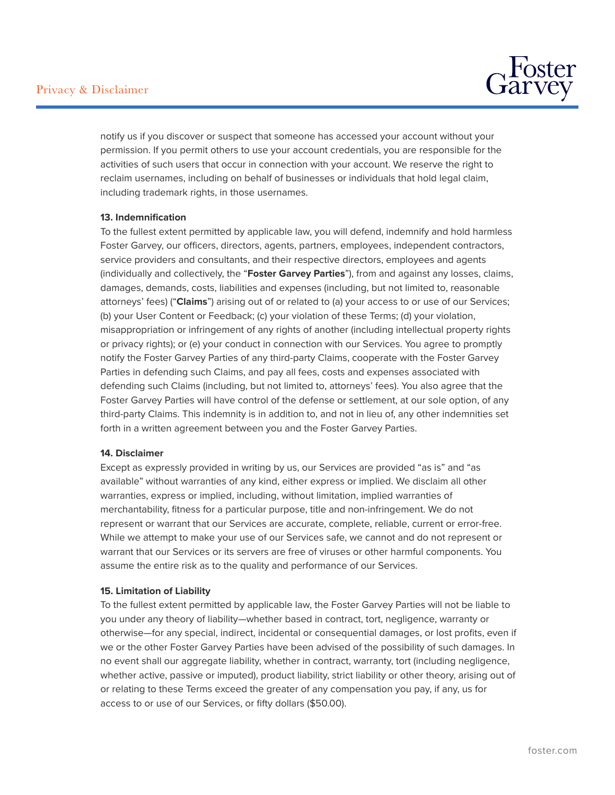

notify us if you discover or suspect that someone has accessed your account without your permission. If you permit others to use your account credentials, you are responsible for the activities of such users that occur in connection with your account. We reserve the right to reclaim usernames, including on behalf of businesses or individuals that hold legal claim, including trademark rights, in those usernames.

#### **13. Indemnification**

To the fullest extent permitted by applicable law, you will defend, indemnify and hold harmless Foster Garvey, our officers, directors, agents, partners, employees, independent contractors, service providers and consultants, and their respective directors, employees and agents (individually and collectively, the "**Foster Garvey Parties**"), from and against any losses, claims, damages, demands, costs, liabilities and expenses (including, but not limited to, reasonable attorneys' fees) ("**Claims**") arising out of or related to (a) your access to or use of our Services; (b) your User Content or Feedback; (c) your violation of these Terms; (d) your violation, misappropriation or infringement of any rights of another (including intellectual property rights or privacy rights); or (e) your conduct in connection with our Services. You agree to promptly notify the Foster Garvey Parties of any third-party Claims, cooperate with the Foster Garvey Parties in defending such Claims, and pay all fees, costs and expenses associated with defending such Claims (including, but not limited to, attorneys' fees). You also agree that the Foster Garvey Parties will have control of the defense or settlement, at our sole option, of any third-party Claims. This indemnity is in addition to, and not in lieu of, any other indemnities set forth in a written agreement between you and the Foster Garvey Parties.

#### **14. Disclaimer**

Except as expressly provided in writing by us, our Services are provided "as is" and "as available" without warranties of any kind, either express or implied. We disclaim all other warranties, express or implied, including, without limitation, implied warranties of merchantability, fitness for a particular purpose, title and non-infringement. We do not represent or warrant that our Services are accurate, complete, reliable, current or error-free. While we attempt to make your use of our Services safe, we cannot and do not represent or warrant that our Services or its servers are free of viruses or other harmful components. You assume the entire risk as to the quality and performance of our Services.

#### **15. Limitation of Liability**

To the fullest extent permitted by applicable law, the Foster Garvey Parties will not be liable to you under any theory of liability—whether based in contract, tort, negligence, warranty or otherwise—for any special, indirect, incidental or consequential damages, or lost profits, even if we or the other Foster Garvey Parties have been advised of the possibility of such damages. In no event shall our aggregate liability, whether in contract, warranty, tort (including negligence, whether active, passive or imputed), product liability, strict liability or other theory, arising out of or relating to these Terms exceed the greater of any compensation you pay, if any, us for access to or use of our Services, or fifty dollars (\$50.00).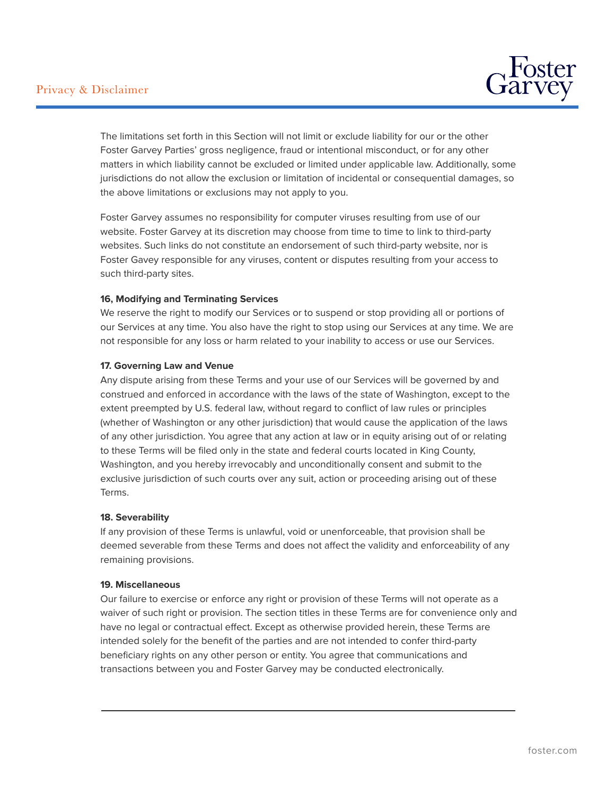

The limitations set forth in this Section will not limit or exclude liability for our or the other Foster Garvey Parties' gross negligence, fraud or intentional misconduct, or for any other matters in which liability cannot be excluded or limited under applicable law. Additionally, some jurisdictions do not allow the exclusion or limitation of incidental or consequential damages, so the above limitations or exclusions may not apply to you.

Foster Garvey assumes no responsibility for computer viruses resulting from use of our website. Foster Garvey at its discretion may choose from time to time to link to third-party websites. Such links do not constitute an endorsement of such third-party website, nor is Foster Gavey responsible for any viruses, content or disputes resulting from your access to such third-party sites.

#### **16, Modifying and Terminating Services**

We reserve the right to modify our Services or to suspend or stop providing all or portions of our Services at any time. You also have the right to stop using our Services at any time. We are not responsible for any loss or harm related to your inability to access or use our Services.

#### **17. Governing Law and Venue**

Any dispute arising from these Terms and your use of our Services will be governed by and construed and enforced in accordance with the laws of the state of Washington, except to the extent preempted by U.S. federal law, without regard to conflict of law rules or principles (whether of Washington or any other jurisdiction) that would cause the application of the laws of any other jurisdiction. You agree that any action at law or in equity arising out of or relating to these Terms will be filed only in the state and federal courts located in King County, Washington, and you hereby irrevocably and unconditionally consent and submit to the exclusive jurisdiction of such courts over any suit, action or proceeding arising out of these Terms.

#### **18. Severability**

If any provision of these Terms is unlawful, void or unenforceable, that provision shall be deemed severable from these Terms and does not affect the validity and enforceability of any remaining provisions.

#### **19. Miscellaneous**

L

Our failure to exercise or enforce any right or provision of these Terms will not operate as a waiver of such right or provision. The section titles in these Terms are for convenience only and have no legal or contractual effect. Except as otherwise provided herein, these Terms are intended solely for the benefit of the parties and are not intended to confer third-party beneficiary rights on any other person or entity. You agree that communications and transactions between you and Foster Garvey may be conducted electronically.